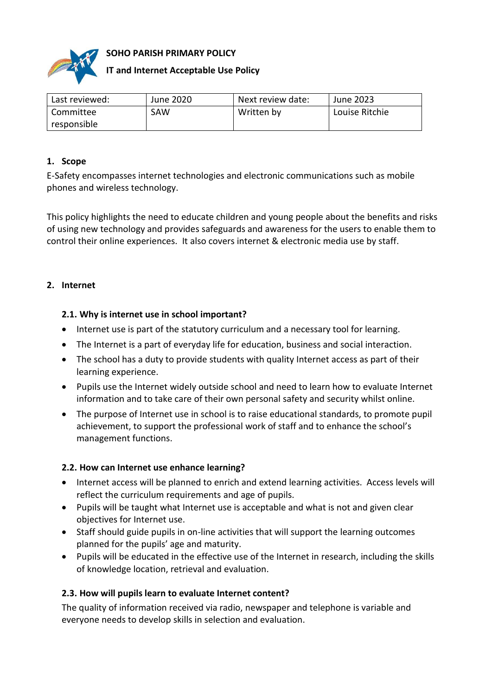

## **SOHO PARISH PRIMARY POLICY**

# **IT and Internet Acceptable Use Policy**

| Last reviewed: | June 2020 | Next review date: | June 2023      |
|----------------|-----------|-------------------|----------------|
| Committee      | SAW       | Written by        | Louise Ritchie |
| responsible    |           |                   |                |

## **1. Scope**

E-Safety encompasses internet technologies and electronic communications such as mobile phones and wireless technology.

This policy highlights the need to educate children and young people about the benefits and risks of using new technology and provides safeguards and awareness for the users to enable them to control their online experiences. It also covers internet & electronic media use by staff.

## **2. Internet**

## **2.1. Why is internet use in school important?**

- Internet use is part of the statutory curriculum and a necessary tool for learning.
- The Internet is a part of everyday life for education, business and social interaction.
- The school has a duty to provide students with quality Internet access as part of their learning experience.
- Pupils use the Internet widely outside school and need to learn how to evaluate Internet information and to take care of their own personal safety and security whilst online.
- The purpose of Internet use in school is to raise educational standards, to promote pupil achievement, to support the professional work of staff and to enhance the school's management functions.

## **2.2. How can Internet use enhance learning?**

- Internet access will be planned to enrich and extend learning activities. Access levels will reflect the curriculum requirements and age of pupils.
- Pupils will be taught what Internet use is acceptable and what is not and given clear objectives for Internet use.
- Staff should guide pupils in on-line activities that will support the learning outcomes planned for the pupils' age and maturity.
- Pupils will be educated in the effective use of the Internet in research, including the skills of knowledge location, retrieval and evaluation.

# **2.3. How will pupils learn to evaluate Internet content?**

The quality of information received via radio, newspaper and telephone is variable and everyone needs to develop skills in selection and evaluation.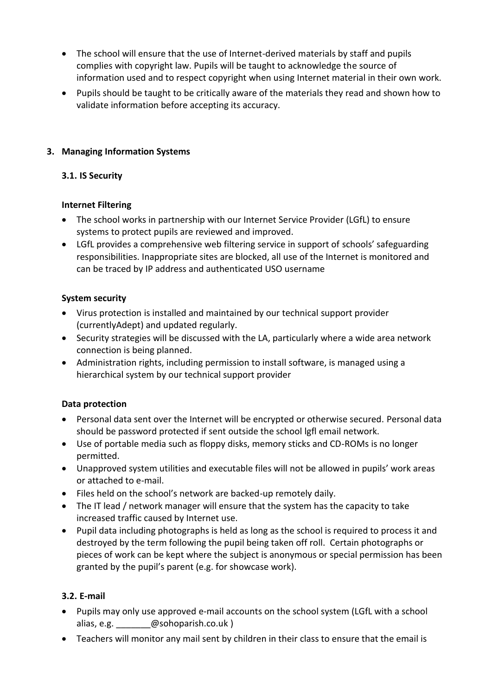- The school will ensure that the use of Internet-derived materials by staff and pupils complies with copyright law. Pupils will be taught to acknowledge the source of information used and to respect copyright when using Internet material in their own work.
- Pupils should be taught to be critically aware of the materials they read and shown how to validate information before accepting its accuracy.

# **3. Managing Information Systems**

## **3.1. IS Security**

## **Internet Filtering**

- The school works in partnership with our Internet Service Provider (LGfL) to ensure systems to protect pupils are reviewed and improved.
- LGfL provides a comprehensive web filtering service in support of schools' safeguarding responsibilities. Inappropriate sites are blocked, all use of the Internet is monitored and can be traced by IP address and authenticated USO username

# **System security**

- Virus protection is installed and maintained by our technical support provider (currentlyAdept) and updated regularly.
- Security strategies will be discussed with the LA, particularly where a wide area network connection is being planned.
- Administration rights, including permission to install software, is managed using a hierarchical system by our technical support provider

## **Data protection**

- Personal data sent over the Internet will be encrypted or otherwise secured. Personal data should be password protected if sent outside the school lgfl email network.
- Use of portable media such as floppy disks, memory sticks and CD-ROMs is no longer permitted.
- Unapproved system utilities and executable files will not be allowed in pupils' work areas or attached to e-mail.
- Files held on the school's network are backed-up remotely daily.
- The IT lead / network manager will ensure that the system has the capacity to take increased traffic caused by Internet use.
- Pupil data including photographs is held as long as the school is required to process it and destroyed by the term following the pupil being taken off roll. Certain photographs or pieces of work can be kept where the subject is anonymous or special permission has been granted by the pupil's parent (e.g. for showcase work).

## **3.2. E-mail**

- Pupils may only use approved e-mail accounts on the school system (LGfL with a school alias, e.g. **@sohoparish.co.uk** )
- Teachers will monitor any mail sent by children in their class to ensure that the email is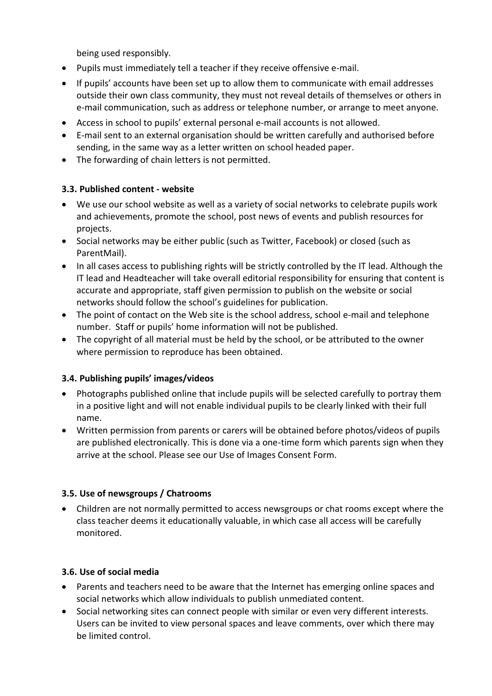being used responsibly.

- Pupils must immediately tell a teacher if they receive offensive e-mail.
- If pupils' accounts have been set up to allow them to communicate with email addresses outside their own class community, they must not reveal details of themselves or others in e-mail communication, such as address or telephone number, or arrange to meet anyone.
- Access in school to pupils' external personal e-mail accounts is not allowed.
- E-mail sent to an external organisation should be written carefully and authorised before sending, in the same way as a letter written on school headed paper.
- The forwarding of chain letters is not permitted.

## **3.3. Published content - website**

- We use our school website as well as a variety of social networks to celebrate pupils work and achievements, promote the school, post news of events and publish resources for projects.
- Social networks may be either public (such as Twitter, Facebook) or closed (such as ParentMail).
- In all cases access to publishing rights will be strictly controlled by the IT lead. Although the IT lead and Headteacher will take overall editorial responsibility for ensuring that content is accurate and appropriate, staff given permission to publish on the website or social networks should follow the school's guidelines for publication.
- The point of contact on the Web site is the school address, school e-mail and telephone number. Staff or pupils' home information will not be published.
- The copyright of all material must be held by the school, or be attributed to the owner where permission to reproduce has been obtained.

## **3.4. Publishing pupils' images/videos**

- Photographs published online that include pupils will be selected carefully to portray them in a positive light and will not enable individual pupils to be clearly linked with their full name.
- Written permission from parents or carers will be obtained before photos/videos of pupils are published electronically. This is done via a one-time form which parents sign when they arrive at the school. Please see our Use of Images Consent Form.

## **3.5. Use of newsgroups / Chatrooms**

 Children are not normally permitted to access newsgroups or chat rooms except where the class teacher deems it educationally valuable, in which case all access will be carefully monitored.

# **3.6. Use of social media**

- Parents and teachers need to be aware that the Internet has emerging online spaces and social networks which allow individuals to publish unmediated content.
- Social networking sites can connect people with similar or even very different interests. Users can be invited to view personal spaces and leave comments, over which there may be limited control.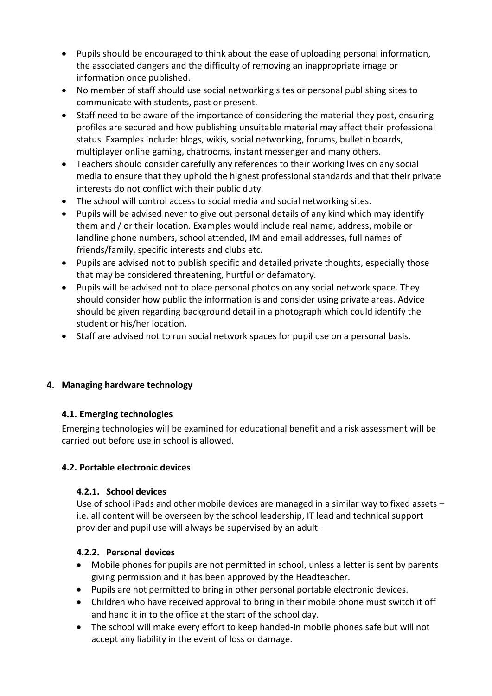- Pupils should be encouraged to think about the ease of uploading personal information, the associated dangers and the difficulty of removing an inappropriate image or information once published.
- No member of staff should use social networking sites or personal publishing sites to communicate with students, past or present.
- Staff need to be aware of the importance of considering the material they post, ensuring profiles are secured and how publishing unsuitable material may affect their professional status. Examples include: blogs, wikis, social networking, forums, bulletin boards, multiplayer online gaming, chatrooms, instant messenger and many others.
- Teachers should consider carefully any references to their working lives on any social media to ensure that they uphold the highest professional standards and that their private interests do not conflict with their public duty.
- The school will control access to social media and social networking sites.
- Pupils will be advised never to give out personal details of any kind which may identify them and / or their location. Examples would include real name, address, mobile or landline phone numbers, school attended, IM and email addresses, full names of friends/family, specific interests and clubs etc.
- Pupils are advised not to publish specific and detailed private thoughts, especially those that may be considered threatening, hurtful or defamatory.
- Pupils will be advised not to place personal photos on any social network space. They should consider how public the information is and consider using private areas. Advice should be given regarding background detail in a photograph which could identify the student or his/her location.
- Staff are advised not to run social network spaces for pupil use on a personal basis.

## **4. Managing hardware technology**

## **4.1. Emerging technologies**

Emerging technologies will be examined for educational benefit and a risk assessment will be carried out before use in school is allowed.

## **4.2. Portable electronic devices**

## **4.2.1. School devices**

Use of school iPads and other mobile devices are managed in a similar way to fixed assets – i.e. all content will be overseen by the school leadership, IT lead and technical support provider and pupil use will always be supervised by an adult.

## **4.2.2. Personal devices**

- Mobile phones for pupils are not permitted in school, unless a letter is sent by parents giving permission and it has been approved by the Headteacher.
- Pupils are not permitted to bring in other personal portable electronic devices.
- Children who have received approval to bring in their mobile phone must switch it off and hand it in to the office at the start of the school day.
- The school will make every effort to keep handed-in mobile phones safe but will not accept any liability in the event of loss or damage.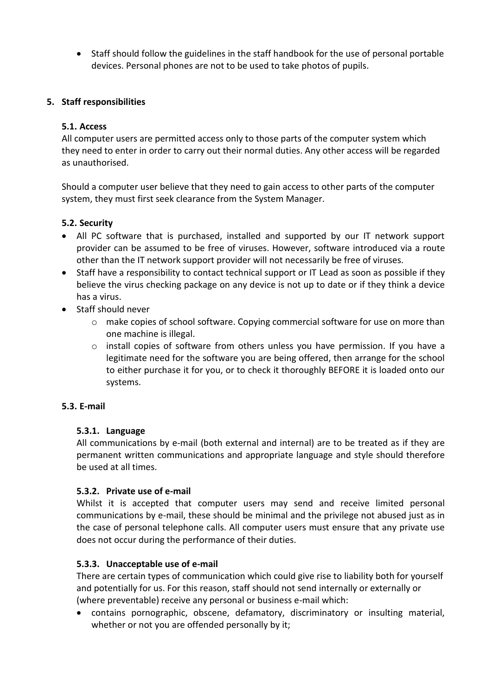Staff should follow the guidelines in the staff handbook for the use of personal portable devices. Personal phones are not to be used to take photos of pupils.

## **5. Staff responsibilities**

## **5.1. Access**

All computer users are permitted access only to those parts of the computer system which they need to enter in order to carry out their normal duties. Any other access will be regarded as unauthorised.

Should a computer user believe that they need to gain access to other parts of the computer system, they must first seek clearance from the System Manager.

# **5.2. Security**

- All PC software that is purchased, installed and supported by our IT network support provider can be assumed to be free of viruses. However, software introduced via a route other than the IT network support provider will not necessarily be free of viruses.
- Staff have a responsibility to contact technical support or IT Lead as soon as possible if they believe the virus checking package on any device is not up to date or if they think a device has a virus.
- Staff should never
	- o make copies of school software. Copying commercial software for use on more than one machine is illegal.
	- o install copies of software from others unless you have permission. If you have a legitimate need for the software you are being offered, then arrange for the school to either purchase it for you, or to check it thoroughly BEFORE it is loaded onto our systems.

## **5.3. E-mail**

## **5.3.1. Language**

All communications by e-mail (both external and internal) are to be treated as if they are permanent written communications and appropriate language and style should therefore be used at all times.

## **5.3.2. Private use of e-mail**

Whilst it is accepted that computer users may send and receive limited personal communications by e-mail, these should be minimal and the privilege not abused just as in the case of personal telephone calls. All computer users must ensure that any private use does not occur during the performance of their duties.

## **5.3.3. Unacceptable use of e-mail**

There are certain types of communication which could give rise to liability both for yourself and potentially for us. For this reason, staff should not send internally or externally or (where preventable) receive any personal or business e-mail which:

 contains pornographic, obscene, defamatory, discriminatory or insulting material, whether or not you are offended personally by it;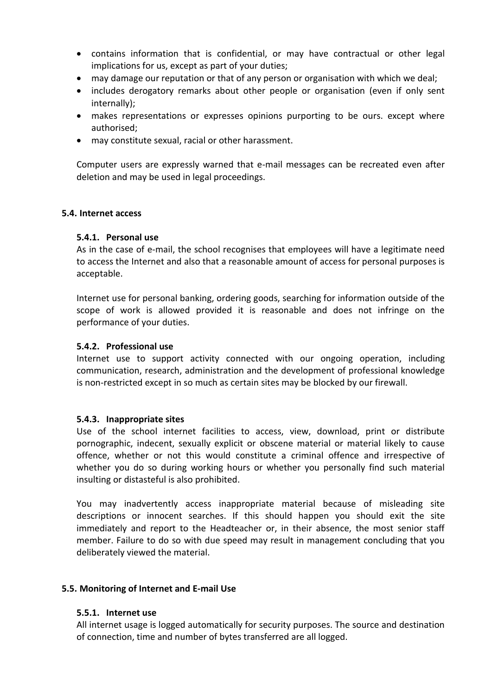- contains information that is confidential, or may have contractual or other legal implications for us, except as part of your duties;
- may damage our reputation or that of any person or organisation with which we deal;
- includes derogatory remarks about other people or organisation (even if only sent internally);
- makes representations or expresses opinions purporting to be ours. except where authorised;
- may constitute sexual, racial or other harassment.

Computer users are expressly warned that e-mail messages can be recreated even after deletion and may be used in legal proceedings.

### **5.4. Internet access**

### **5.4.1. Personal use**

As in the case of e-mail, the school recognises that employees will have a legitimate need to access the Internet and also that a reasonable amount of access for personal purposes is acceptable.

Internet use for personal banking, ordering goods, searching for information outside of the scope of work is allowed provided it is reasonable and does not infringe on the performance of your duties.

### **5.4.2. Professional use**

Internet use to support activity connected with our ongoing operation, including communication, research, administration and the development of professional knowledge is non-restricted except in so much as certain sites may be blocked by our firewall.

#### **5.4.3. Inappropriate sites**

Use of the school internet facilities to access, view, download, print or distribute pornographic, indecent, sexually explicit or obscene material or material likely to cause offence, whether or not this would constitute a criminal offence and irrespective of whether you do so during working hours or whether you personally find such material insulting or distasteful is also prohibited.

You may inadvertently access inappropriate material because of misleading site descriptions or innocent searches. If this should happen you should exit the site immediately and report to the Headteacher or, in their absence, the most senior staff member. Failure to do so with due speed may result in management concluding that you deliberately viewed the material.

#### **5.5. Monitoring of Internet and E-mail Use**

#### **5.5.1. Internet use**

All internet usage is logged automatically for security purposes. The source and destination of connection, time and number of bytes transferred are all logged.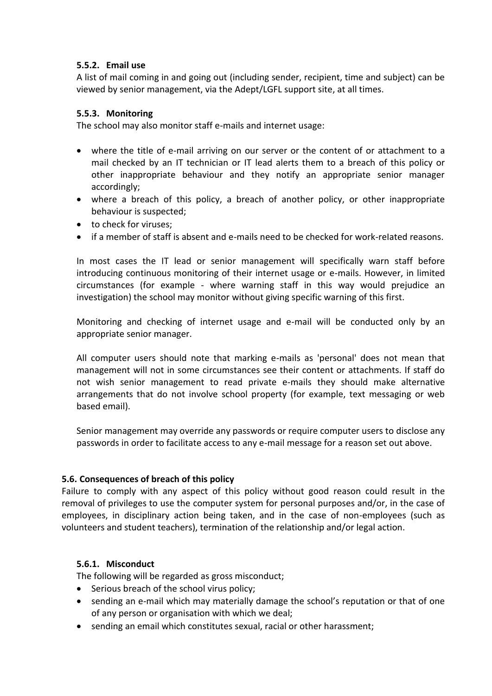## **5.5.2. Email use**

A list of mail coming in and going out (including sender, recipient, time and subject) can be viewed by senior management, via the Adept/LGFL support site, at all times.

### **5.5.3. Monitoring**

The school may also monitor staff e-mails and internet usage:

- where the title of e-mail arriving on our server or the content of or attachment to a mail checked by an IT technician or IT lead alerts them to a breach of this policy or other inappropriate behaviour and they notify an appropriate senior manager accordingly;
- where a breach of this policy, a breach of another policy, or other inappropriate behaviour is suspected;
- to check for viruses:
- if a member of staff is absent and e-mails need to be checked for work-reIated reasons.

In most cases the IT lead or senior management will specifically warn staff before introducing continuous monitoring of their internet usage or e-mails. However, in limited circumstances (for example - where warning staff in this way would prejudice an investigation) the school may monitor without giving specific warning of this first.

Monitoring and checking of internet usage and e-mail will be conducted only by an appropriate senior manager.

All computer users should note that marking e-mails as 'personal' does not mean that management will not in some circumstances see their content or attachments. If staff do not wish senior management to read private e-mails they should make alternative arrangements that do not involve school property (for example, text messaging or web based email).

Senior management may override any passwords or require computer users to disclose any passwords in order to facilitate access to any e-mail message for a reason set out above.

## **5.6. Consequences of breach of this policy**

Failure to comply with any aspect of this policy without good reason could result in the removal of privileges to use the computer system for personal purposes and/or, in the case of employees, in disciplinary action being taken, and in the case of non-employees (such as volunteers and student teachers), termination of the relationship and/or legal action.

## **5.6.1. Misconduct**

The following will be regarded as gross misconduct;

- Serious breach of the school virus policy;
- sending an e-mail which may materially damage the school's reputation or that of one of any person or organisation with which we deal;
- sending an email which constitutes sexual, racial or other harassment;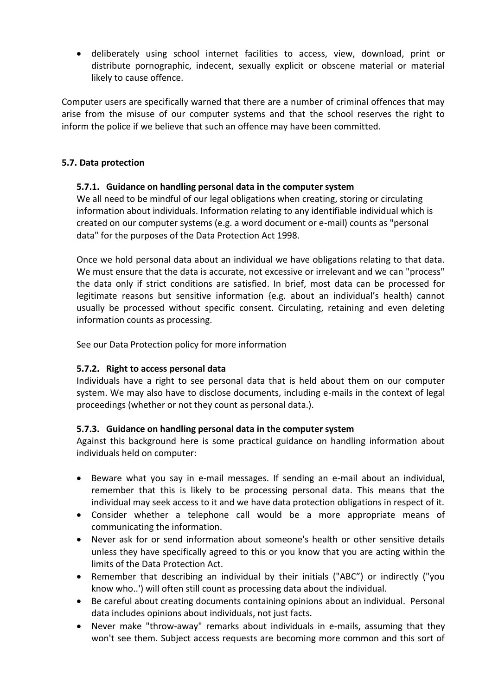deliberately using school internet facilities to access, view, download, print or distribute pornographic, indecent, sexually explicit or obscene material or material likely to cause offence.

Computer users are specifically warned that there are a number of criminal offences that may arise from the misuse of our computer systems and that the school reserves the right to inform the police if we believe that such an offence may have been committed.

### **5.7. Data protection**

### **5.7.1. Guidance on handling personal data in the computer system**

We all need to be mindful of our legal obligations when creating, storing or circulating information about individuals. Information relating to any identifiable individual which is created on our computer systems (e.g. a word document or e-mail) counts as "personal data" for the purposes of the Data Protection Act 1998.

Once we hold personal data about an individual we have obligations relating to that data. We must ensure that the data is accurate, not excessive or irrelevant and we can "process" the data only if strict conditions are satisfied. In brief, most data can be processed for legitimate reasons but sensitive information {e.g. about an individual's health) cannot usually be processed without specific consent. Circulating, retaining and even deleting information counts as processing.

See our Data Protection policy for more information

## **5.7.2. Right to access personal data**

Individuals have a right to see personal data that is held about them on our computer system. We may also have to disclose documents, including e-mails in the context of legal proceedings (whether or not they count as personal data.).

## **5.7.3. Guidance on handling personal data in the computer system**

Against this background here is some practical guidance on handling information about individuals held on computer:

- Beware what you say in e-mail messages. If sending an e-mail about an individual, remember that this is likely to be processing personal data. This means that the individual may seek access to it and we have data protection obligations in respect of it.
- Consider whether a telephone call would be a more appropriate means of communicating the information.
- Never ask for or send information about someone's health or other sensitive details unless they have specifically agreed to this or you know that you are acting within the limits of the Data Protection Act.
- Remember that describing an individual by their initials ("ABC") or indirectly ("you know who..') will often still count as processing data about the individual.
- Be careful about creating documents containing opinions about an individual. Personal data includes opinions about individuals, not just facts.
- Never make "throw-away" remarks about individuals in e-mails, assuming that they won't see them. Subject access requests are becoming more common and this sort of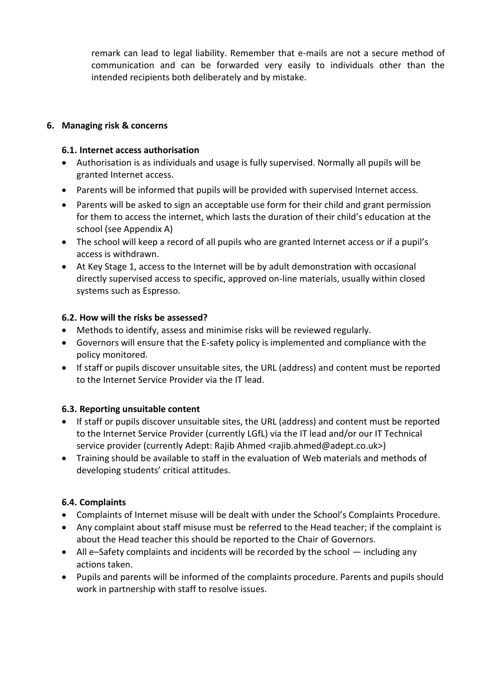remark can lead to legal liability. Remember that e-mails are not a secure method of communication and can be forwarded very easily to individuals other than the intended recipients both deliberately and by mistake.

## **6. Managing risk & concerns**

### **6.1. Internet access authorisation**

- Authorisation is as individuals and usage is fully supervised. Normally all pupils will be granted Internet access.
- Parents will be informed that pupils will be provided with supervised Internet access.
- Parents will be asked to sign an acceptable use form for their child and grant permission for them to access the internet, which lasts the duration of their child's education at the school (see Appendix A)
- The school will keep a record of all pupils who are granted Internet access or if a pupil's access is withdrawn.
- At Key Stage 1, access to the Internet will be by adult demonstration with occasional directly supervised access to specific, approved on-line materials, usually within closed systems such as Espresso.

## **6.2. How will the risks be assessed?**

- Methods to identify, assess and minimise risks will be reviewed regularly.
- Governors will ensure that the E-safety policy is implemented and compliance with the policy monitored.
- If staff or pupils discover unsuitable sites, the URL (address) and content must be reported to the Internet Service Provider via the IT lead.

## **6.3. Reporting unsuitable content**

- If staff or pupils discover unsuitable sites, the URL (address) and content must be reported to the Internet Service Provider (currently LGfL) via the IT lead and/or our IT Technical service provider (currently Adept: Rajib Ahmed <rajib.ahmed@adept.co.uk>)
- Training should be available to staff in the evaluation of Web materials and methods of developing students' critical attitudes.

## **6.4. Complaints**

- Complaints of Internet misuse will be dealt with under the School's Complaints Procedure.
- Any complaint about staff misuse must be referred to the Head teacher; if the complaint is about the Head teacher this should be reported to the Chair of Governors.
- All e–Safety complaints and incidents will be recorded by the school including any actions taken.
- Pupils and parents will be informed of the complaints procedure. Parents and pupils should work in partnership with staff to resolve issues.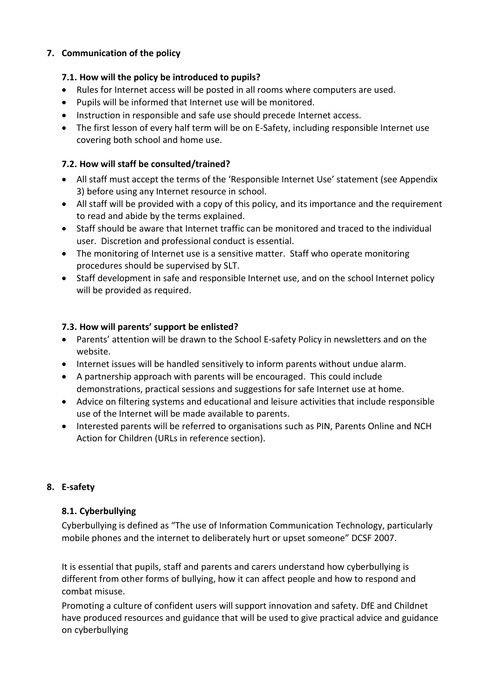# **7. Communication of the policy**

## **7.1. How will the policy be introduced to pupils?**

- Rules for Internet access will be posted in all rooms where computers are used.
- Pupils will be informed that Internet use will be monitored.
- Instruction in responsible and safe use should precede Internet access.
- The first lesson of every half term will be on E-Safety, including responsible Internet use covering both school and home use.

# **7.2. How will staff be consulted/trained?**

- All staff must accept the terms of the 'Responsible Internet Use' statement (see Appendix 3) before using any Internet resource in school.
- All staff will be provided with a copy of this policy, and its importance and the requirement to read and abide by the terms explained.
- Staff should be aware that Internet traffic can be monitored and traced to the individual user. Discretion and professional conduct is essential.
- The monitoring of Internet use is a sensitive matter. Staff who operate monitoring procedures should be supervised by SLT.
- Staff development in safe and responsible Internet use, and on the school Internet policy will be provided as required.

# **7.3. How will parents' support be enlisted?**

- Parents' attention will be drawn to the School E-safety Policy in newsletters and on the website.
- Internet issues will be handled sensitively to inform parents without undue alarm.
- A partnership approach with parents will be encouraged. This could include demonstrations, practical sessions and suggestions for safe Internet use at home.
- Advice on filtering systems and educational and leisure activities that include responsible use of the Internet will be made available to parents.
- Interested parents will be referred to organisations such as PIN, Parents Online and NCH Action for Children (URLs in reference section).

## **8. E-safety**

# **8.1. Cyberbullying**

Cyberbullying is defined as "The use of Information Communication Technology, particularly mobile phones and the internet to deliberately hurt or upset someone" DCSF 2007.

It is essential that pupils, staff and parents and carers understand how cyberbullying is different from other forms of bullying, how it can affect people and how to respond and combat misuse.

Promoting a culture of confident users will support innovation and safety. DfE and Childnet have produced resources and guidance that will be used to give practical advice and guidance on cyberbullying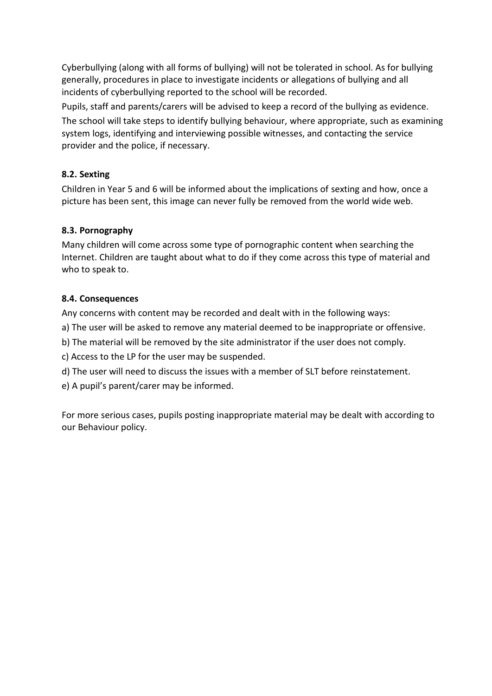Cyberbullying (along with all forms of bullying) will not be tolerated in school. As for bullying generally, procedures in place to investigate incidents or allegations of bullying and all incidents of cyberbullying reported to the school will be recorded.

Pupils, staff and parents/carers will be advised to keep a record of the bullying as evidence.

The school will take steps to identify bullying behaviour, where appropriate, such as examining system logs, identifying and interviewing possible witnesses, and contacting the service provider and the police, if necessary.

# **8.2. Sexting**

Children in Year 5 and 6 will be informed about the implications of sexting and how, once a picture has been sent, this image can never fully be removed from the world wide web.

# **8.3. Pornography**

Many children will come across some type of pornographic content when searching the Internet. Children are taught about what to do if they come across this type of material and who to speak to.

## **8.4. Consequences**

Any concerns with content may be recorded and dealt with in the following ways:

- a) The user will be asked to remove any material deemed to be inappropriate or offensive.
- b) The material will be removed by the site administrator if the user does not comply.
- c) Access to the LP for the user may be suspended.
- d) The user will need to discuss the issues with a member of SLT before reinstatement.
- e) A pupil's parent/carer may be informed.

For more serious cases, pupils posting inappropriate material may be dealt with according to our Behaviour policy.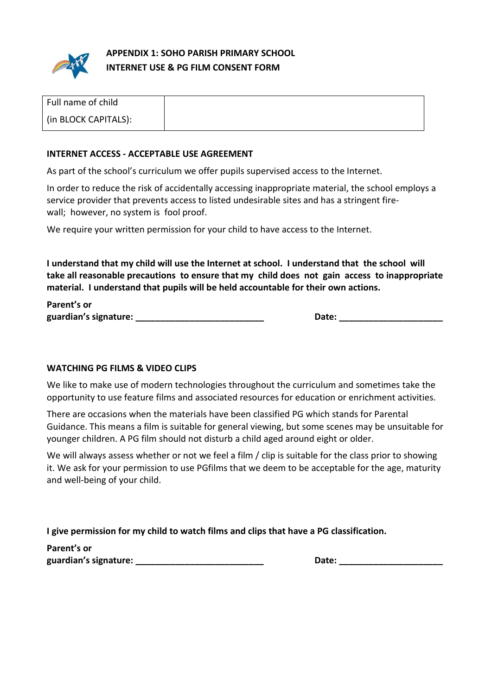

**APPENDIX 1: SOHO PARISH PRIMARY SCHOOL INTERNET USE & PG FILM CONSENT FORM** 

| Full name of child   |  |
|----------------------|--|
| (in BLOCK CAPITALS): |  |

#### **INTERNET ACCESS - ACCEPTABLE USE AGREEMENT**

As part of the school's curriculum we offer pupils supervised access to the Internet.

In order to reduce the risk of accidentally accessing inappropriate material, the school employs a service provider that prevents access to listed undesirable sites and has a stringent firewall; however, no system is fool proof.

We require your written permission for your child to have access to the Internet.

**I understand that my child will use the Internet at school. I understand that the school will take all reasonable precautions to ensure that my child does not gain access to inappropriate material. I understand that pupils will be held accountable for their own actions.** 

**Parent's or guardian's signature: \_\_\_\_\_\_\_\_\_\_\_\_\_\_\_\_\_\_\_\_\_\_\_\_\_\_ Date: \_\_\_\_\_\_\_\_\_\_\_\_\_\_\_\_\_\_\_\_\_** 

#### **WATCHING PG FILMS & VIDEO CLIPS**

We like to make use of modern technologies throughout the curriculum and sometimes take the opportunity to use feature films and associated resources for education or enrichment activities.

There are occasions when the materials have been classified PG which stands for Parental Guidance. This means a film is suitable for general viewing, but some scenes may be unsuitable for younger children. A PG film should not disturb a child aged around eight or older.

We will always assess whether or not we feel a film / clip is suitable for the class prior to showing it. We ask for your permission to use PGfilms that we deem to be acceptable for the age, maturity and well-being of your child.

**I give permission for my child to watch films and clips that have a PG classification.** 

**Parent's or guardian's signature: \_\_\_\_\_\_\_\_\_\_\_\_\_\_\_\_\_\_\_\_\_\_\_\_\_\_ Date: \_\_\_\_\_\_\_\_\_\_\_\_\_\_\_\_\_\_\_\_\_**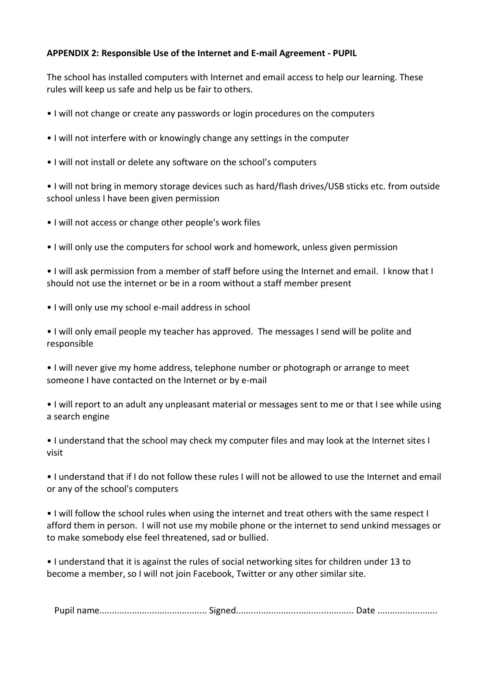## **APPENDIX 2: Responsible Use of the Internet and E-mail Agreement - PUPIL**

The school has installed computers with Internet and email access to help our learning. These rules will keep us safe and help us be fair to others.

• I will not change or create any passwords or login procedures on the computers

- I will not interfere with or knowingly change any settings in the computer
- I will not install or delete any software on the school's computers

• I will not bring in memory storage devices such as hard/flash drives/USB sticks etc. from outside school unless I have been given permission

- I will not access or change other people's work files
- I will only use the computers for school work and homework, unless given permission

• I will ask permission from a member of staff before using the Internet and email. I know that I should not use the internet or be in a room without a staff member present

• I will only use my school e-mail address in school

• I will only email people my teacher has approved. The messages I send will be polite and responsible

• I will never give my home address, telephone number or photograph or arrange to meet someone I have contacted on the Internet or by e-mail

• I will report to an adult any unpleasant material or messages sent to me or that I see while using a search engine

• I understand that the school may check my computer files and may look at the Internet sites I visit

• I understand that if I do not follow these rules I will not be allowed to use the Internet and email or any of the school's computers

• I will follow the school rules when using the internet and treat others with the same respect I afford them in person. I will not use my mobile phone or the internet to send unkind messages or to make somebody else feel threatened, sad or bullied.

• I understand that it is against the rules of social networking sites for children under 13 to become a member, so I will not join Facebook, Twitter or any other similar site.

Pupil name........................................... Signed............................................... Date ........................